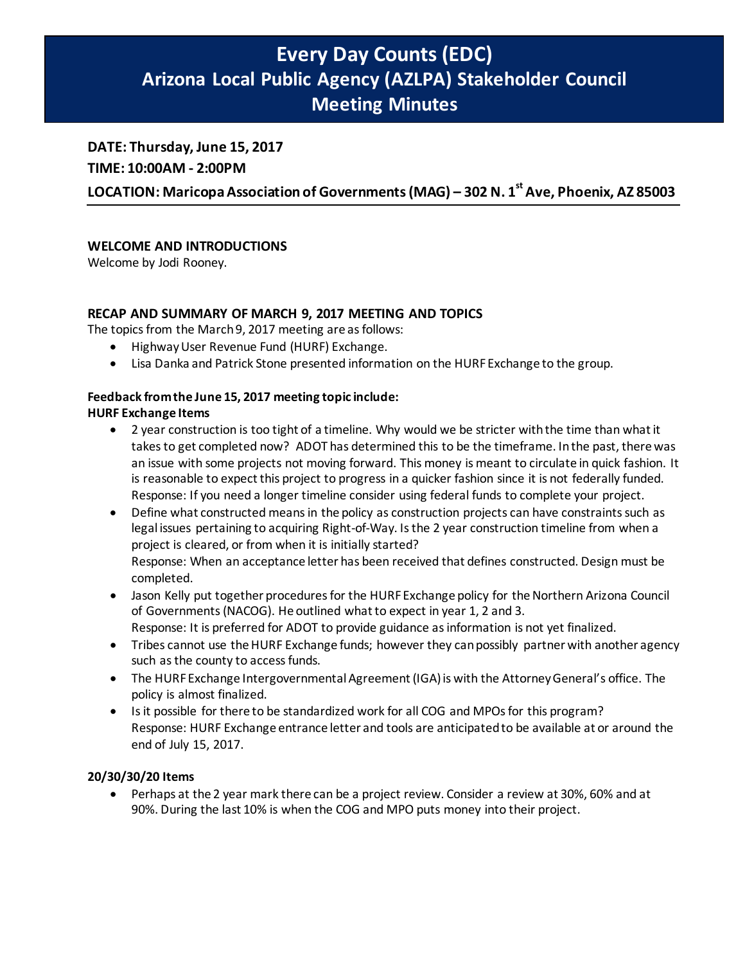# **Every Day Counts (EDC) Arizona Local Public Agency (AZLPA) Stakeholder Council Meeting Minutes**

## **DATE: Thursday, June 15, 2017**

**TIME: 10:00AM - 2:00PM** 

LOCATION: Maricopa Association of Governments (MAG) – 302 N. 1<sup>st</sup> Ave, Phoenix, AZ 85003

## **WELCOME AND INTRODUCTIONS**

Welcome by Jodi Rooney.

## **RECAP AND SUMMARY OF MARCH 9, 2017 MEETING AND TOPICS**

The topics from the March 9, 2017 meeting are as follows:

- Highway User Revenue Fund (HURF) Exchange.
- Lisa Danka and Patrick Stone presented information on the HURF Exchange to the group.

#### **Feedback from the June 15, 2017 meeting topic include:**

#### **HURF Exchange Items**

- 2 year construction is too tight of a timeline. Why would we be stricter with the time than what it takes to get completed now? ADOT has determined this to be the timeframe. In the past, there was an issue with some projects not moving forward. This money is meant to circulate in quick fashion. It is reasonable to expect this project to progress in a quicker fashion since it is not federally funded. Response: If you need a longer timeline consider using federal funds to complete your project.
- Define what constructed means in the policy as construction projects can have constraints such as legal issues pertaining to acquiring Right-of-Way. Is the 2 year construction timeline from when a project is cleared, or from when it is initially started? Response: When an acceptance letter has been received that defines constructed. Design must be completed.
- Jason Kelly put together procedures for the HURF Exchange policy for the Northern Arizona Council of Governments (NACOG). He outlined what to expect in year 1, 2 and 3. Response: It is preferred for ADOT to provide guidance as information is not yet finalized.
- Tribes cannot use the HURF Exchange funds; however they can possibly partner with another agency such as the county to access funds.
- The HURFExchange Intergovernmental Agreement (IGA) is with the Attorney General's office. The policy is almost finalized.
- Is it possible for there to be standardized work for all COG and MPOs for this program? Response: HURF Exchange entrance letter and tools are anticipated to be available at or around the end of July 15, 2017.

## **20/30/30/20 Items**

• Perhaps at the 2 year mark there can be a project review. Consider a review at 30%, 60% and at 90%. During the last 10% is when the COG and MPO puts money into their project.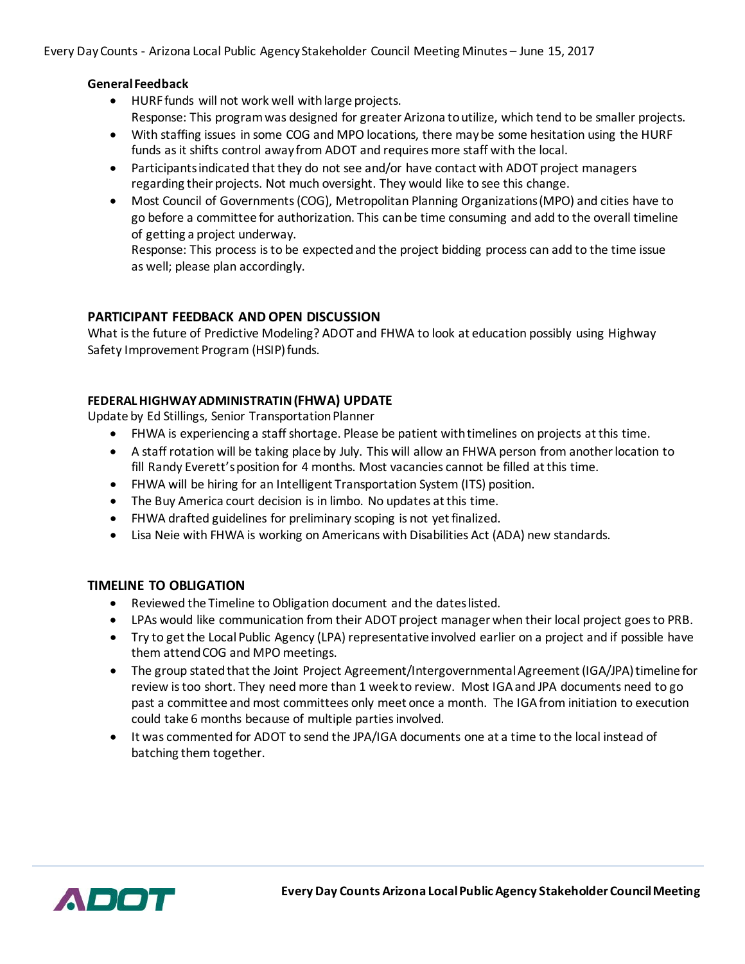Every Day Counts - Arizona Local Public Agency Stakeholder Council Meeting Minutes – June 15, 2017

### **General Feedback**

- HURF funds will not work well with large projects. Response: This program was designed for greater Arizona to utilize, which tend to be smaller projects.
- With staffing issues in some COG and MPO locations, there may be some hesitation using the HURF funds as it shifts control away from ADOT and requires more staff with the local.
- Participants indicated that they do not see and/or have contact with ADOT project managers regarding their projects. Not much oversight. They would like to see this change.
- Most Council of Governments (COG), Metropolitan Planning Organizations (MPO) and cities have to go before a committee for authorization. This can be time consuming and add to the overall timeline of getting a project underway.

Response: This process is to be expected and the project bidding process can add to the time issue as well; please plan accordingly.

## **PARTICIPANT FEEDBACK AND OPEN DISCUSSION**

What is the future of Predictive Modeling? ADOT and FHWA to look at education possibly using Highway Safety Improvement Program (HSIP) funds.

## **FEDERAL HIGHWAY ADMINISTRATIN (FHWA) UPDATE**

Update by Ed Stillings, Senior Transportation Planner

- FHWA is experiencing a staff shortage. Please be patient with timelines on projects at this time.
- A staff rotation will be taking place by July. This will allow an FHWA person from another location to fill Randy Everett's position for 4 months. Most vacancies cannot be filled at this time.
- FHWA will be hiring for an Intelligent Transportation System (ITS) position.
- The Buy America court decision is in limbo. No updates at this time.
- FHWA drafted guidelines for preliminary scoping is not yet finalized.
- Lisa Neie with FHWA is working on Americans with Disabilities Act (ADA) new standards.

## **TIMELINE TO OBLIGATION**

- Reviewed the Timeline to Obligation document and the dates listed.
- LPAs would like communication from their ADOT project manager when their local project goes to PRB.
- Try to get the Local Public Agency (LPA) representative involved earlier on a project and if possible have them attend COG and MPO meetings.
- The group stated that the Joint Project Agreement/Intergovernmental Agreement (IGA/JPA) timeline for review is too short. They need more than 1 week to review. Most IGA and JPA documents need to go past a committee and most committees only meet once a month. The IGA from initiation to execution could take 6 months because of multiple parties involved.
- It was commented for ADOT to send the JPA/IGA documents one at a time to the local instead of batching them together.